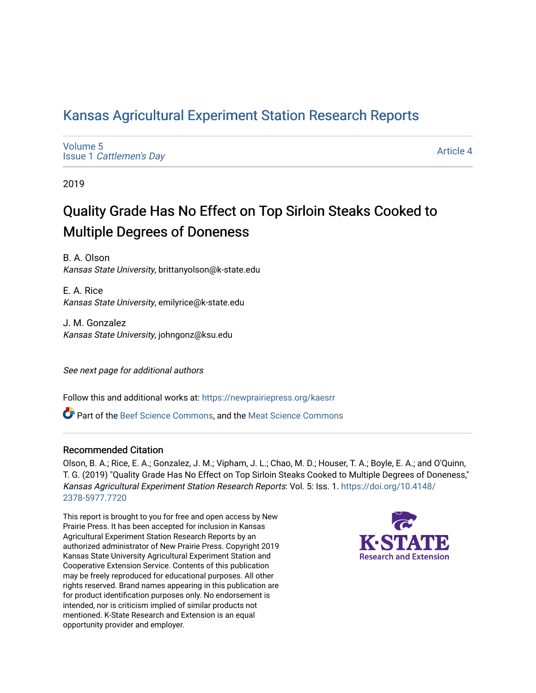### [Kansas Agricultural Experiment Station Research Reports](https://newprairiepress.org/kaesrr)

[Volume 5](https://newprairiepress.org/kaesrr/vol5) Issue 1 [Cattlemen's Day](https://newprairiepress.org/kaesrr/vol5/iss1) 

[Article 4](https://newprairiepress.org/kaesrr/vol5/iss1/4) 

2019

## Quality Grade Has No Effect on Top Sirloin Steaks Cooked to Multiple Degrees of Doneness

B. A. Olson Kansas State University, brittanyolson@k-state.edu

E. A. Rice Kansas State University, emilyrice@k-state.edu

J. M. Gonzalez Kansas State University, johngonz@ksu.edu

See next page for additional authors

Follow this and additional works at: [https://newprairiepress.org/kaesrr](https://newprairiepress.org/kaesrr?utm_source=newprairiepress.org%2Fkaesrr%2Fvol5%2Fiss1%2F4&utm_medium=PDF&utm_campaign=PDFCoverPages) 

**C** Part of the [Beef Science Commons,](http://network.bepress.com/hgg/discipline/1404?utm_source=newprairiepress.org%2Fkaesrr%2Fvol5%2Fiss1%2F4&utm_medium=PDF&utm_campaign=PDFCoverPages) and the [Meat Science Commons](http://network.bepress.com/hgg/discipline/1301?utm_source=newprairiepress.org%2Fkaesrr%2Fvol5%2Fiss1%2F4&utm_medium=PDF&utm_campaign=PDFCoverPages)

#### Recommended Citation

Olson, B. A.; Rice, E. A.; Gonzalez, J. M.; Vipham, J. L.; Chao, M. D.; Houser, T. A.; Boyle, E. A.; and O'Quinn, T. G. (2019) "Quality Grade Has No Effect on Top Sirloin Steaks Cooked to Multiple Degrees of Doneness," Kansas Agricultural Experiment Station Research Reports: Vol. 5: Iss. 1. [https://doi.org/10.4148/](https://doi.org/10.4148/2378-5977.7720) [2378-5977.7720](https://doi.org/10.4148/2378-5977.7720) 

This report is brought to you for free and open access by New Prairie Press. It has been accepted for inclusion in Kansas Agricultural Experiment Station Research Reports by an authorized administrator of New Prairie Press. Copyright 2019 Kansas State University Agricultural Experiment Station and Cooperative Extension Service. Contents of this publication may be freely reproduced for educational purposes. All other rights reserved. Brand names appearing in this publication are for product identification purposes only. No endorsement is intended, nor is criticism implied of similar products not mentioned. K-State Research and Extension is an equal opportunity provider and employer.

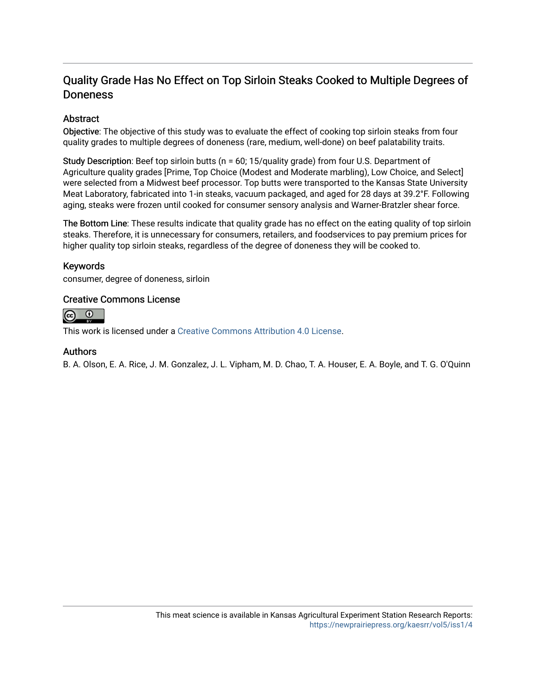### Quality Grade Has No Effect on Top Sirloin Steaks Cooked to Multiple Degrees of Doneness

### Abstract

Objective: The objective of this study was to evaluate the effect of cooking top sirloin steaks from four quality grades to multiple degrees of doneness (rare, medium, well-done) on beef palatability traits.

Study Description: Beef top sirloin butts (n = 60; 15/quality grade) from four U.S. Department of Agriculture quality grades [Prime, Top Choice (Modest and Moderate marbling), Low Choice, and Select] were selected from a Midwest beef processor. Top butts were transported to the Kansas State University Meat Laboratory, fabricated into 1-in steaks, vacuum packaged, and aged for 28 days at 39.2°F. Following aging, steaks were frozen until cooked for consumer sensory analysis and Warner-Bratzler shear force.

The Bottom Line: These results indicate that quality grade has no effect on the eating quality of top sirloin steaks. Therefore, it is unnecessary for consumers, retailers, and foodservices to pay premium prices for higher quality top sirloin steaks, regardless of the degree of doneness they will be cooked to.

#### Keywords

consumer, degree of doneness, sirloin

#### Creative Commons License



This work is licensed under a [Creative Commons Attribution 4.0 License](https://creativecommons.org/licenses/by/4.0/).

#### Authors

B. A. Olson, E. A. Rice, J. M. Gonzalez, J. L. Vipham, M. D. Chao, T. A. Houser, E. A. Boyle, and T. G. O'Quinn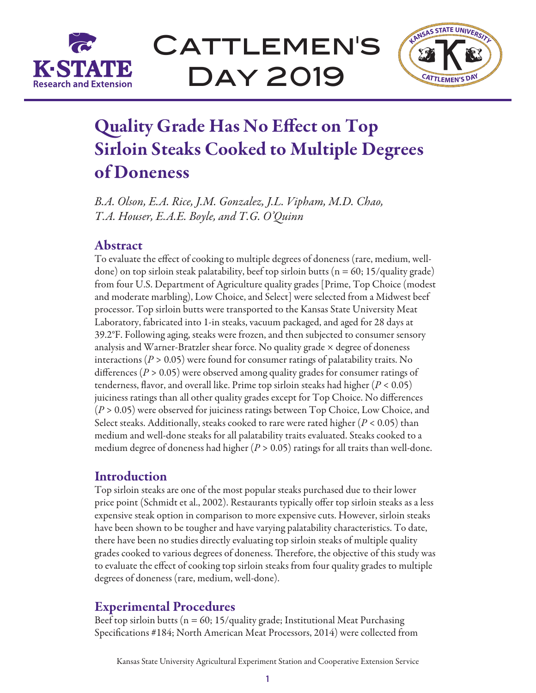

CATTLEMEN'S Day 2019



# Quality Grade Has No Effect on Top Sirloin Steaks Cooked to Multiple Degrees of Doneness

*B.A. Olson, E.A. Rice, J.M. Gonzalez, J.L. Vipham, M.D. Chao, T.A. Houser, E.A.E. Boyle, and T.G. O'Quinn*

### Abstract

To evaluate the effect of cooking to multiple degrees of doneness (rare, medium, welldone) on top sirloin steak palatability, beef top sirloin butts ( $n = 60$ ; 15/quality grade) from four U.S. Department of Agriculture quality grades [Prime, Top Choice (modest and moderate marbling), Low Choice, and Select] were selected from a Midwest beef processor. Top sirloin butts were transported to the Kansas State University Meat Laboratory, fabricated into 1-in steaks, vacuum packaged, and aged for 28 days at 39.2°F. Following aging, steaks were frozen, and then subjected to consumer sensory analysis and Warner-Bratzler shear force. No quality grade  $\times$  degree of doneness interactions ( $P > 0.05$ ) were found for consumer ratings of palatability traits. No differences (*P* > 0.05) were observed among quality grades for consumer ratings of tenderness, flavor, and overall like. Prime top sirloin steaks had higher (*P* < 0.05) juiciness ratings than all other quality grades except for Top Choice. No differences (*P* > 0.05) were observed for juiciness ratings between Top Choice, Low Choice, and Select steaks. Additionally, steaks cooked to rare were rated higher (*P* < 0.05) than medium and well-done steaks for all palatability traits evaluated. Steaks cooked to a medium degree of doneness had higher  $(P > 0.05)$  ratings for all traits than well-done.

### Introduction

Top sirloin steaks are one of the most popular steaks purchased due to their lower price point (Schmidt et al., 2002). Restaurants typically offer top sirloin steaks as a less expensive steak option in comparison to more expensive cuts. However, sirloin steaks have been shown to be tougher and have varying palatability characteristics. To date, there have been no studies directly evaluating top sirloin steaks of multiple quality grades cooked to various degrees of doneness. Therefore, the objective of this study was to evaluate the effect of cooking top sirloin steaks from four quality grades to multiple degrees of doneness (rare, medium, well-done).

### Experimental Procedures

Beef top sirloin butts ( $n = 60$ ; 15/quality grade; Institutional Meat Purchasing Specifications #184; North American Meat Processors, 2014) were collected from

Kansas State University Agricultural Experiment Station and Cooperative Extension Service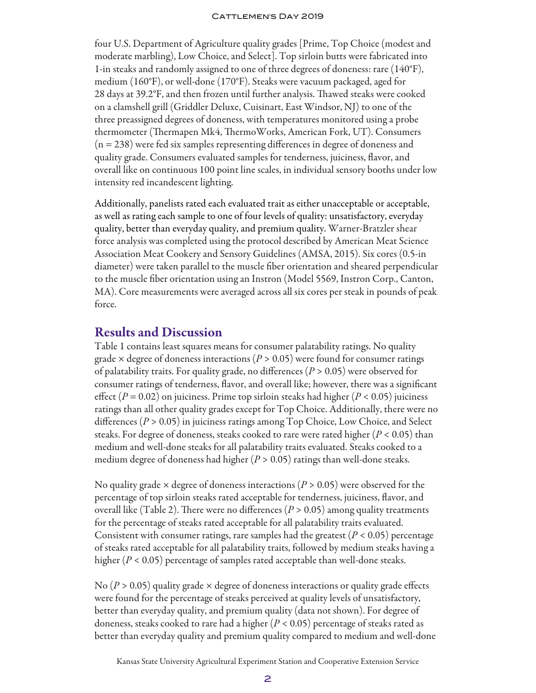#### CATTLEMEN'S DAY 2019

four U.S. Department of Agriculture quality grades [Prime, Top Choice (modest and moderate marbling), Low Choice, and Select]. Top sirloin butts were fabricated into 1-in steaks and randomly assigned to one of three degrees of doneness: rare (140°F), medium (160°F), or well-done (170°F). Steaks were vacuum packaged, aged for 28 days at 39.2°F, and then frozen until further analysis. Thawed steaks were cooked on a clamshell grill (Griddler Deluxe, Cuisinart, East Windsor, NJ) to one of the three preassigned degrees of doneness, with temperatures monitored using a probe thermometer (Thermapen Mk4, ThermoWorks, American Fork, UT). Consumers (n = 238) were fed six samples representing differences in degree of doneness and quality grade. Consumers evaluated samples for tenderness, juiciness, flavor, and overall like on continuous 100 point line scales, in individual sensory booths under low intensity red incandescent lighting.

Additionally, panelists rated each evaluated trait as either unacceptable or acceptable, as well as rating each sample to one of four levels of quality: unsatisfactory, everyday quality, better than everyday quality, and premium quality. Warner-Bratzler shear force analysis was completed using the protocol described by American Meat Science Association Meat Cookery and Sensory Guidelines (AMSA, 2015). Six cores (0.5-in diameter) were taken parallel to the muscle fiber orientation and sheared perpendicular to the muscle fiber orientation using an Instron (Model 5569, Instron Corp., Canton, MA). Core measurements were averaged across all six cores per steak in pounds of peak force.

### Results and Discussion

Table 1 contains least squares means for consumer palatability ratings. No quality grade  $\times$  degree of doneness interactions ( $P > 0.05$ ) were found for consumer ratings of palatability traits. For quality grade, no differences (*P* > 0.05) were observed for consumer ratings of tenderness, flavor, and overall like; however, there was a significant effect (*P* = 0.02) on juiciness. Prime top sirloin steaks had higher (*P* < 0.05) juiciness ratings than all other quality grades except for Top Choice. Additionally, there were no differences (*P* > 0.05) in juiciness ratings among Top Choice, Low Choice, and Select steaks. For degree of doneness, steaks cooked to rare were rated higher (*P* < 0.05) than medium and well-done steaks for all palatability traits evaluated. Steaks cooked to a medium degree of doneness had higher (*P* > 0.05) ratings than well-done steaks.

No quality grade × degree of doneness interactions (*P* > 0.05) were observed for the percentage of top sirloin steaks rated acceptable for tenderness, juiciness, flavor, and overall like (Table 2). There were no differences ( $P > 0.05$ ) among quality treatments for the percentage of steaks rated acceptable for all palatability traits evaluated. Consistent with consumer ratings, rare samples had the greatest  $(P < 0.05)$  percentage of steaks rated acceptable for all palatability traits, followed by medium steaks having a higher (*P* < 0.05) percentage of samples rated acceptable than well-done steaks.

No ( $P > 0.05$ ) quality grade  $\times$  degree of doneness interactions or quality grade effects were found for the percentage of steaks perceived at quality levels of unsatisfactory, better than everyday quality, and premium quality (data not shown). For degree of doneness, steaks cooked to rare had a higher (*P* < 0.05) percentage of steaks rated as better than everyday quality and premium quality compared to medium and well-done

Kansas State University Agricultural Experiment Station and Cooperative Extension Service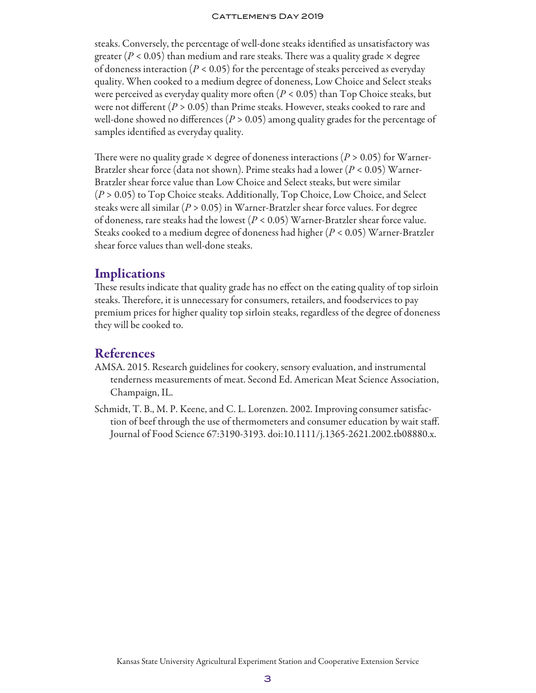#### CATTLEMEN'S DAY 2019

steaks. Conversely, the percentage of well-done steaks identified as unsatisfactory was greater ( $P < 0.05$ ) than medium and rare steaks. There was a quality grade  $\times$  degree of doneness interaction (*P* < 0.05) for the percentage of steaks perceived as everyday quality. When cooked to a medium degree of doneness, Low Choice and Select steaks were perceived as everyday quality more often  $(P < 0.05)$  than Top Choice steaks, but were not different (*P* > 0.05) than Prime steaks. However, steaks cooked to rare and well-done showed no differences ( $P > 0.05$ ) among quality grades for the percentage of samples identified as everyday quality.

There were no quality grade  $\times$  degree of doneness interactions ( $P > 0.05$ ) for Warner-Bratzler shear force (data not shown). Prime steaks had a lower (*P* < 0.05) Warner-Bratzler shear force value than Low Choice and Select steaks, but were similar (*P* > 0.05) to Top Choice steaks. Additionally, Top Choice, Low Choice, and Select steaks were all similar (*P* > 0.05) in Warner-Bratzler shear force values. For degree of doneness, rare steaks had the lowest (*P* < 0.05) Warner-Bratzler shear force value. Steaks cooked to a medium degree of doneness had higher (*P* < 0.05) Warner-Bratzler shear force values than well-done steaks.

### Implications

These results indicate that quality grade has no effect on the eating quality of top sirloin steaks. Therefore, it is unnecessary for consumers, retailers, and foodservices to pay premium prices for higher quality top sirloin steaks, regardless of the degree of doneness they will be cooked to.

### **References**

- AMSA. 2015. Research guidelines for cookery, sensory evaluation, and instrumental tenderness measurements of meat. Second Ed. American Meat Science Association, Champaign, IL.
- Schmidt, T. B., M. P. Keene, and C. L. Lorenzen. 2002. Improving consumer satisfaction of beef through the use of thermometers and consumer education by wait staff. Journal of Food Science 67:3190-3193. doi:10.1111/j.1365-2621.2002.tb08880.x.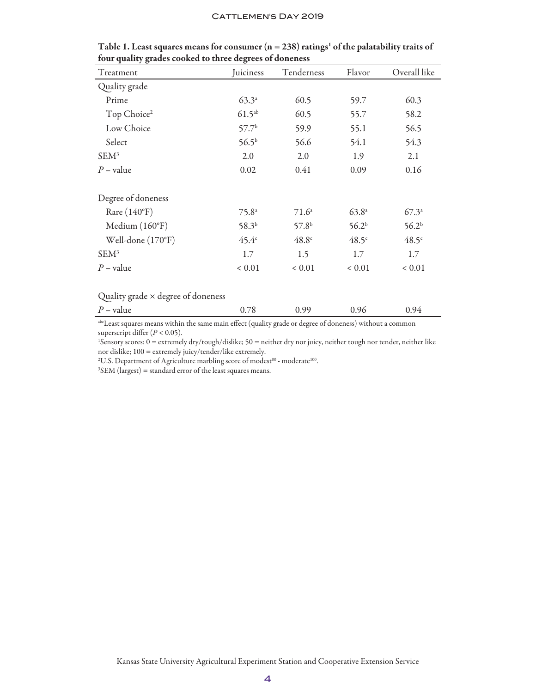#### CATTLEMEN'S DAY 2019

| Treatment               | Juiciness         | Tenderness        | Flavor            | Overall like      |
|-------------------------|-------------------|-------------------|-------------------|-------------------|
| Quality grade           |                   |                   |                   |                   |
| Prime                   | $63.3^{a}$        | 60.5              | 59.7              | 60.3              |
| Top Choice <sup>2</sup> | $61.5^{ab}$       | 60.5              | 55.7              | 58.2              |
| Low Choice              | 57.7 <sup>b</sup> | 59.9              | 55.1              | 56.5              |
| Select                  | $56.5^{b}$        | 56.6              | 54.1              | 54.3              |
| SEM <sup>3</sup>        | 2.0               | 2.0               | 1.9               | 2.1               |
| $P$ – value             | 0.02              | 0.41              | 0.09              | 0.16              |
| Degree of doneness      |                   |                   |                   |                   |
| Rare $(140^{\circ}F)$   | $75.8^{\circ}$    | $71.6^{\circ}$    | $63.8^{a}$        | $67.3^{\circ}$    |
| Medium $(160^{\circ}F)$ | 58.3 <sup>b</sup> | 57.8 <sup>b</sup> | 56.2 <sup>b</sup> | 56.2 <sup>b</sup> |
| Well-done (170°F)       | 45.4 <sup>c</sup> | 48.8 <sup>c</sup> | $48.5^\circ$      | $48.5^\circ$      |
| $SEM^3$                 | 1.7               | 1.5               | 1.7               | 1.7               |
| $P$ – value             | ${}< 0.01$        | ${}< 0.01$        | ${}< 0.01$        | ${}< 0.01$        |
|                         |                   |                   |                   |                   |

Table 1. Least squares means for consumer ( $n = 238$ ) ratings<sup>1</sup> of the palatability traits of four quality grades cooked to three degrees of doneness

#### Quality grade × degree of doneness

| $P -$<br>$\rightarrow$<br>vaiue | ഹ | ぃ | আ∠<br>$\overline{\phantom{a}}$ |
|---------------------------------|---|---|--------------------------------|
|                                 |   |   |                                |

abcLeast squares means within the same main effect (quality grade or degree of doneness) without a common superscript differ (*P* < 0.05).

1 Sensory scores: 0 = extremely dry/tough/dislike; 50 = neither dry nor juicy, neither tough nor tender, neither like nor dislike; 100 = extremely juicy/tender/like extremely.

<sup>2</sup>U.S. Department of Agriculture marbling score of modest $^{00}$  - moderate $^{100}$ .

 ${}^{3}$ SEM (largest) = standard error of the least squares means.